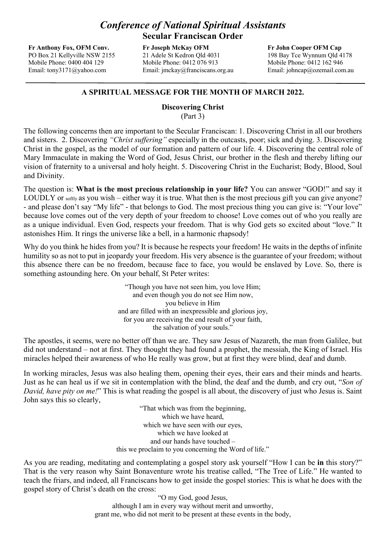## *Conference of National Spiritual Assistants*  **Secular Franciscan Order**

**Fr Anthony Fox, OFM Conv.** PO Box 21 Kellyville NSW 2155 Mobile Phone: 0400 404 129 Email: tony3171@yahoo.com

**Fr Joseph McKay OFM** 21 Adele St Kedron Qld 4031 Mobile Phone: 0412 076 913 Email: jmckay@franciscans.org.au **Fr John Cooper OFM Cap** 198 Bay Tce Wynnum Qld 4178 Mobile Phone: 0412 162 946 Email: johncap@ozemail.com.au

## **A SPIRITUAL MESSAGE FOR THE MONTH OF MARCH 2022.**

## **Discovering Christ**

(Part 3)

The following concerns then are important to the Secular Franciscan: 1. Discovering Christ in all our brothers and sisters. 2. Discovering *"Christ suffering"* especially in the outcasts, poor; sick and dying. 3. Discovering Christ in the gospel, as the model of our formation and pattern of our life. 4. Discovering the central role of Mary Immaculate in making the Word of God, Jesus Christ, our brother in the flesh and thereby lifting our vision of fraternity to a universal and holy height. 5. Discovering Christ in the Eucharist; Body, Blood, Soul and Divinity.

The question is: **What is the most precious relationship in your life?** You can answer "GOD!" and say it LOUDLY or softly as you wish – either way it is true. What then is the most precious gift you can give anyone? - and please don't say "My life" - that belongs to God. The most precious thing you can give is: "Your love" because love comes out of the very depth of your freedom to choose! Love comes out of who you really are as a unique individual. Even God, respects your freedom. That is why God gets so excited about "love." It astonishes Him. It rings the universe like a bell, in a harmonic rhapsody!

Why do you think he hides from you? It is because he respects your freedom! He waits in the depths of infinite humility so as not to put in jeopardy your freedom. His very absence is the guarantee of your freedom; without this absence there can be no freedom, because face to face, you would be enslaved by Love. So, there is something astounding here. On your behalf, St Peter writes:

> "Though you have not seen him, you love Him; and even though you do not see Him now, you believe in Him and are filled with an inexpressible and glorious joy, for you are receiving the end result of your faith, the salvation of your souls."

The apostles, it seems, were no better off than we are. They saw Jesus of Nazareth, the man from Galilee, but did not understand – not at first. They thought they had found a prophet, the messiah, the King of Israel. His miracles helped their awareness of who He really was grow, but at first they were blind, deaf and dumb.

In working miracles, Jesus was also healing them, opening their eyes, their ears and their minds and hearts. Just as he can heal us if we sit in contemplation with the blind, the deaf and the dumb, and cry out, "*Son of David, have pity on me!*" This is what reading the gospel is all about, the discovery of just who Jesus is. Saint John says this so clearly,

> "That which was from the beginning, which we have heard, which we have seen with our eyes, which we have looked at and our hands have touched – this we proclaim to you concerning the Word of life."

As you are reading, meditating and contemplating a gospel story ask yourself "How I can be **in** this story?" That is the very reason why Saint Bonaventure wrote his treatise called, "The Tree of Life." He wanted to teach the friars, and indeed, all Franciscans how to get inside the gospel stories: This is what he does with the gospel story of Christ's death on the cross:

"O my God, good Jesus, although I am in every way without merit and unworthy, grant me, who did not merit to be present at these events in the body,